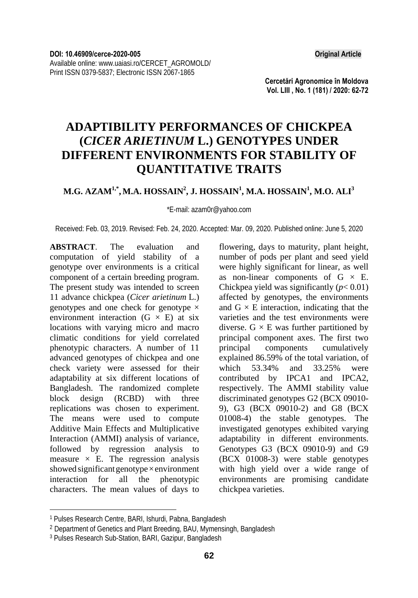**Cercetări Agronomice în Moldova Vol. LIII , No. 1 (181) / 2020: 62-72** 

# **ADAPTIBILITY PERFORMANCES OF CHICKPEA (***CICER ARIETINUM* **L.) GENOTYPES UNDER DIFFERENT ENVIRONMENTS FOR STABILITY OF QUANTITATIVE TRAITS**

### **M.G. AZAM1,\*, M.A. HOSSAIN2 , J. HOSSAIN<sup>1</sup> , M.A. HOSSAIN<sup>1</sup> , M.O. ALI3**

\*E-mail: azam0r@yahoo.com

Received: Feb. 03, 2019. Revised: Feb. 24, 2020. Accepted: Mar. 09, 2020. Published online: June 5, 2020

**ABSTRACT**. The evaluation and computation of yield stability of a genotype over environments is a critical component of a certain breeding program. The present study was intended to screen 11 advance chickpea (*Cicer arietinum* L.) genotypes and one check for genotype  $\times$ environment interaction  $(G \times E)$  at six locations with varying micro and macro climatic conditions for yield correlated phenotypic characters. A number of 11 advanced genotypes of chickpea and one check variety were assessed for their adaptability at six different locations of Bangladesh. The randomized complete block design (RCBD) with three replications was chosen to experiment. The means were used to compute Additive Main Effects and Multiplicative Interaction (AMMI) analysis of variance, followed by regression analysis to  $measured x E. The regression analysis$ showed significant genotype×environment interaction for all the phenotypic characters. The mean values of days to

flowering, days to maturity, plant height, number of pods per plant and seed yield were highly significant for linear, as well as non-linear components of  $G \times E$ . Chickpea yield was significantly  $(p< 0.01)$ affected by genotypes, the environments and  $G \times E$  interaction, indicating that the varieties and the test environments were diverse.  $G \times E$  was further partitioned by principal component axes. The first two principal components cumulatively explained 86.59% of the total variation, of which 53.34% and 33.25% were contributed by IPCA1 and IPCA2, respectively. The AMMI stability value discriminated genotypes G2 (BCX 09010- 9), G3 (BCX 09010-2) and G8 (BCX 01008-4) the stable genotypes. The investigated genotypes exhibited varying adaptability in different environments. Genotypes G3 (BCX 09010-9) and G9 (BCX 01008-3) were stable genotypes with high yield over a wide range of environments are promising candidate chickpea varieties.

l

<sup>1</sup> Pulses Research Centre, BARI, Ishurdi, Pabna, Bangladesh

<sup>2</sup> Department of Genetics and Plant Breeding, BAU, Mymensingh, Bangladesh

<sup>3</sup> Pulses Research Sub-Station, BARI, Gazipur, Bangladesh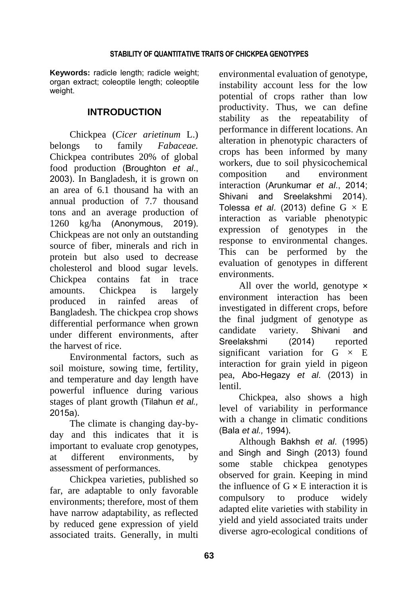**Keywords:** radicle length; radicle weight; organ extract; coleoptile length; coleoptile weight.

# **INTRODUCTION**

Chickpea (*Cicer arietinum* L.) belongs to family *Fabaceae.*  Chickpea contributes 20% of global food production (Broughton *et al*., 2003). In Bangladesh, it is grown on an area of 6.1 thousand ha with an annual production of 7.7 thousand tons and an average production of 1260 kg/ha (Anonymous, 2019). Chickpeas are not only an outstanding source of fiber, minerals and rich in protein but also used to decrease cholesterol and blood sugar levels. Chickpea contains fat in trace amounts. Chickpea is largely produced in rainfed areas of Bangladesh. The chickpea crop shows differential performance when grown under different environments, after the harvest of rice.

Environmental factors, such as soil moisture, sowing time, fertility, and temperature and day length have powerful influence during various stages of plant growth (Tilahun *et al.,* 2015a).

The climate is changing day-byday and this indicates that it is important to evaluate crop genotypes, at different environments, by assessment of performances.

Chickpea varieties, published so far, are adaptable to only favorable environments; therefore, most of them have narrow adaptability, as reflected by reduced gene expression of yield associated traits. Generally, in multi environmental evaluation of genotype, instability account less for the low potential of crops rather than low productivity. Thus, we can define stability as the repeatability of performance in different locations. An alteration in phenotypic characters of crops has been informed by many workers, due to soil physicochemical composition and environment interaction (Arunkumar *et al*., 2014; Shivani and Sreelakshmi 2014). Tolessa *et al.* (2013) define  $G \times E$ interaction as variable phenotypic expression of genotypes in the response to environmental changes. This can be performed by the evaluation of genotypes in different environments.

All over the world, genotype × environment interaction has been investigated in different crops, before the final judgment of genotype as candidate variety. Shivani and Sreelakshmi (2014) reported significant variation for  $G \times E$ interaction for grain yield in pigeon pea, Abo-Hegazy *et al*. (2013) in lentil.

Chickpea, also shows a high level of variability in performance with a change in climatic conditions (Bala *et al.,* 1994).

Although Bakhsh *et al*. (1995) and Singh and Singh (2013) found some stable chickpea genotypes observed for grain. Keeping in mind the influence of  $G \times E$  interaction it is compulsory to produce widely adapted elite varieties with stability in yield and yield associated traits under diverse agro-ecological conditions of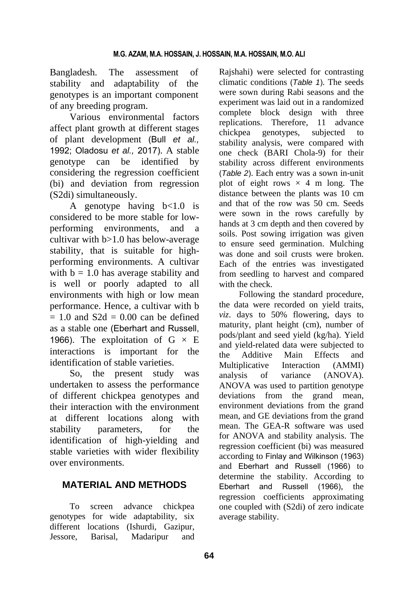Bangladesh. The assessment of stability and adaptability of the genotypes is an important component of any breeding program.

Various environmental factors affect plant growth at different stages of plant development (Bull *et al.,* 1992; Oladosu *et al.,* 2017). A stable genotype can be identified by considering the regression coefficient (bi) and deviation from regression (S2di) simultaneously.

A genotype having b<1.0 is considered to be more stable for lowperforming environments, and a cultivar with b>1.0 has below-average stability, that is suitable for highperforming environments. A cultivar with  $b = 1.0$  has average stability and is well or poorly adapted to all environments with high or low mean performance. Hence, a cultivar with b  $= 1.0$  and  $S2d = 0.00$  can be defined as a stable one (Eberhart and Russell, 1966). The exploitation of  $G \times E$ interactions is important for the identification of stable varieties.

So, the present study was undertaken to assess the performance of different chickpea genotypes and their interaction with the environment at different locations along with stability parameters, for the identification of high-yielding and stable varieties with wider flexibility over environments.

# **MATERIAL AND METHODS**

To screen advance chickpea genotypes for wide adaptability, six different locations (Ishurdi, Gazipur, Jessore, Barisal, Madaripur and Rajshahi) were selected for contrasting climatic conditions (*Table 1*). The seeds were sown during Rabi seasons and the experiment was laid out in a randomized complete block design with three replications. Therefore, 11 advance chickpea genotypes, subjected to stability analysis, were compared with one check (BARI Chola-9) for their stability across different environments (*Table 2*). Each entry was a sown in-unit plot of eight rows  $\times$  4 m long. The distance between the plants was 10 cm and that of the row was 50 cm. Seeds were sown in the rows carefully by hands at 3 cm depth and then covered by soils. Post sowing irrigation was given to ensure seed germination. Mulching was done and soil crusts were broken. Each of the entries was investigated from seedling to harvest and compared with the check.

Following the standard procedure, the data were recorded on yield traits, *viz*. days to 50% flowering, days to maturity, plant height (cm), number of pods/plant and seed yield (kg/ha). Yield and yield-related data were subjected to the Additive Main Effects and Multiplicative Interaction (AMMI) analysis of variance (ANOVA). ANOVA was used to partition genotype deviations from the grand mean, environment deviations from the grand mean, and GE deviations from the grand mean. The GEA-R software was used for ANOVA and stability analysis. The regression coefficient (bi) was measured according to Finlay and Wilkinson (1963) and Eberhart and Russell (1966) to determine the stability. According to Eberhart and Russell (1966), the regression coefficients approximating one coupled with (S2di) of zero indicate average stability.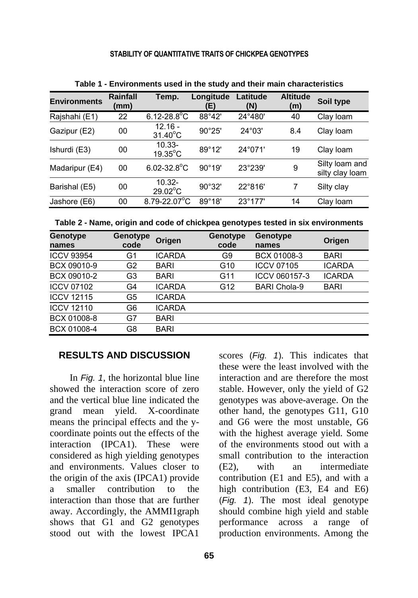### **STABILITY OF QUANTITATIVE TRAITS OF CHICKPEA GENOTYPES**

| <b>Environments</b> | Rainfall<br>(mm) | Temp.                          | Longitude<br>(E) | Latitude<br>(N)  | <b>Altitude</b><br>(m) | Soil type                         |
|---------------------|------------------|--------------------------------|------------------|------------------|------------------------|-----------------------------------|
| Rajshahi (E1)       | 22               | $6.12 - 28.8^{\circ}C$         | 88°42'           | 24°480'          | 40                     | Clay loam                         |
| Gazipur (E2)        | 00               | $12.16 -$<br>$31.40^{\circ}$ C | 90°25'           | 24°03'           | 8.4                    | Clay loam                         |
| Ishurdi (E3)        | 00               | $10.33 -$<br>$19.35^{\circ}$ C | 89°12'           | 24°071'          | 19                     | Clay loam                         |
| Madaripur (E4)      | 00               | $6.02 - 32.8$ °C               | $90^\circ 19'$   | 23°239'          | 9                      | Silty loam and<br>silty clay loam |
| Barishal (E5)       | 00               | $10.32 -$<br>$29.02^{\circ}$ C | 90°32'           | 22°816'          | 7                      | Silty clay                        |
| Jashore (E6)        | 00               | $8.79 - 22.07$ °C              | $89^{\circ}18'$  | $23^{\circ}177'$ | 14                     | Clay loam                         |

**Table 1 - Environments used in the study and their main characteristics** 

| Genotype<br>names | Genotype<br>code | Origen        | Genotype<br>code | Genotype<br>names   | Origen        |
|-------------------|------------------|---------------|------------------|---------------------|---------------|
| <b>ICCV 93954</b> | G1               | <b>ICARDA</b> | G9               | BCX 01008-3         | <b>BARI</b>   |
| BCX 09010-9       | G2               | BARI          | G10              | <b>ICCV 07105</b>   | <b>ICARDA</b> |
| BCX 09010-2       | G3               | <b>BARI</b>   | G11              | ICCV 060157-3       | <b>ICARDA</b> |
| <b>ICCV 07102</b> | G4               | <b>ICARDA</b> | G12              | <b>BARI Chola-9</b> | <b>BARI</b>   |
| <b>ICCV 12115</b> | G5               | <b>ICARDA</b> |                  |                     |               |
| <b>ICCV 12110</b> | G6               | <b>ICARDA</b> |                  |                     |               |
| BCX 01008-8       | G7               | <b>BARI</b>   |                  |                     |               |
| BCX 01008-4       | G8               | <b>BARI</b>   |                  |                     |               |

## **RESULTS AND DISCUSSION**

In *Fig. 1*, the horizontal blue line showed the interaction score of zero and the vertical blue line indicated the grand mean yield. X-coordinate means the principal effects and the ycoordinate points out the effects of the interaction (IPCA1). These were considered as high yielding genotypes and environments. Values closer to the origin of the axis (IPCA1) provide a smaller contribution to the interaction than those that are further away. Accordingly, the AMMI1graph shows that G1 and G2 genotypes stood out with the lowest IPCA1

these were the least involved with the interaction and are therefore the most stable. However, only the yield of G2 genotypes was above-average. On the other hand, the genotypes G11, G10 and G6 were the most unstable, G6 with the highest average yield. Some of the environments stood out with a small contribution to the interaction (E2), with an intermediate contribution (E1 and E5), and with a high contribution (E3, E4 and E6) (*Fig. 1*). The most ideal genotype should combine high yield and stable performance across a range of production environments. Among the

scores (*Fig. 1*). This indicates that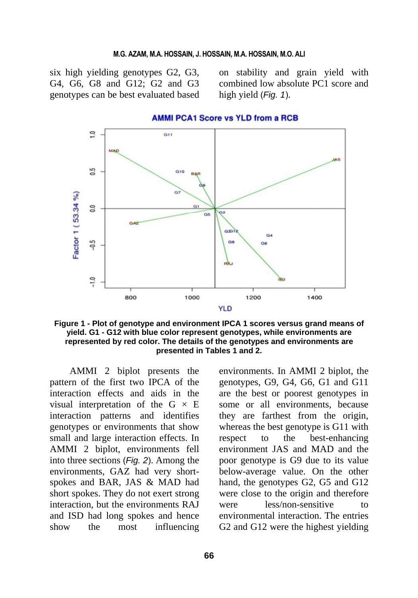#### **M.G. AZAM, M.A. HOSSAIN, J. HOSSAIN, M.A. HOSSAIN, M.O. ALI**

six high yielding genotypes G2, G3, G4, G6, G8 and G12; G2 and G3 genotypes can be best evaluated based

on stability and grain yield with combined low absolute PC1 score and high yield (*Fig. 1*).



**Figure 1 - Plot of genotype and environment IPCA 1 scores versus grand means of yield. G1 - G12 with blue color represent genotypes, while environments are represented by red color. The details of the genotypes and environments are presented in Tables 1 and 2.**

AMMI 2 biplot presents the pattern of the first two IPCA of the interaction effects and aids in the visual interpretation of the G  $\times$  E interaction patterns and identifies genotypes or environments that show small and large interaction effects. In AMMI 2 biplot, environments fell into three sections (*Fig. 2*). Among the environments, GAZ had very shortspokes and BAR, JAS & MAD had short spokes. They do not exert strong interaction, but the environments RAJ and ISD had long spokes and hence show the most influencing environments. In AMMI 2 biplot, the genotypes, G9, G4, G6, G1 and G11 are the best or poorest genotypes in some or all environments, because they are farthest from the origin, whereas the best genotype is G11 with respect to the best-enhancing environment JAS and MAD and the poor genotype is G9 due to its value below-average value. On the other hand, the genotypes G2, G5 and G12 were close to the origin and therefore were less/non-sensitive to environmental interaction. The entries G2 and G12 were the highest yielding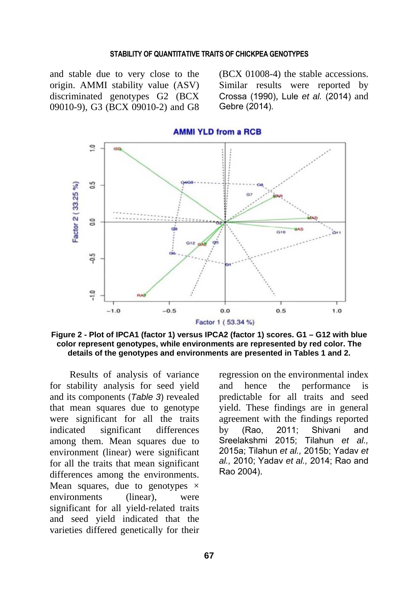#### **STABILITY OF QUANTITATIVE TRAITS OF CHICKPEA GENOTYPES**

and stable due to very close to the origin. AMMI stability value (ASV) discriminated genotypes G2 (BCX 09010-9), G3 (BCX 09010-2) and G8

(BCX 01008-4) the stable accessions. Similar results were reported by Crossa (1990), Lule *et al.* (2014) and Gebre (2014).



**Figure 2 - Plot of IPCA1 (factor 1) versus IPCA2 (factor 1) scores. G1 – G12 with blue color represent genotypes, while environments are represented by red color. The details of the genotypes and environments are presented in Tables 1 and 2.**

Results of analysis of variance for stability analysis for seed yield and its components (*Table 3*) revealed that mean squares due to genotype were significant for all the traits indicated significant differences among them. Mean squares due to environment (linear) were significant for all the traits that mean significant differences among the environments. Mean squares, due to genotypes  $\times$ environments (linear), were significant for all yield-related traits and seed yield indicated that the varieties differed genetically for their regression on the environmental index and hence the performance is predictable for all traits and seed yield. These findings are in general agreement with the findings reported by (Rao, 2011; Shivani and Sreelakshmi 2015; Tilahun *et al.,*  2015a; Tilahun *et al.,* 2015b; Yadav *et al.,* 2010; Yadav *et al.,* 2014; Rao and Rao 2004).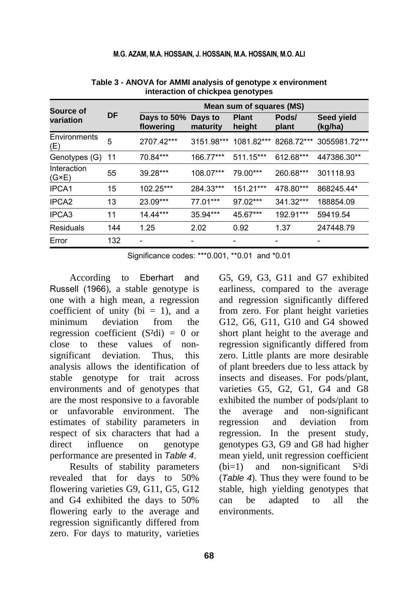| Source of                     |           |                          |                     | Mean sum of squares (MS) |                |                       |
|-------------------------------|-----------|--------------------------|---------------------|--------------------------|----------------|-----------------------|
| variation                     | <b>DF</b> | Days to 50%<br>flowering | Days to<br>maturity | <b>Plant</b><br>height   | Pods/<br>plant | Seed yield<br>(kg/ha) |
| Environments<br>(E)           | 5         | 2707.42***               | 3151.98***          | 1081.82***               | 8268.72***     | 3055981.72***         |
| Genotypes (G)                 | 11        | 70.84***                 | 166.77***           | 511.15***                | 612.68***      | 447386.30**           |
| Interaction<br>$(G \times E)$ | 55        | 39.28***                 | 108.07***           | 79.00***                 | 260.68***      | 301118.93             |
| IPCA1                         | 15        | 102.25***                | 284.33***           | 151.21***                | 478.80***      | 868245.44*            |
| IPCA <sub>2</sub>             | 13        | 23.09***                 | 77.01***            | 97.02***                 | 341.32***      | 188854.09             |
| IPCA3                         | 11        | 14.44***                 | 35.94***            | 45.67***                 | 192.91***      | 59419.54              |
| <b>Residuals</b>              | 144       | 1.25                     | 2.02                | 0.92                     | 1.37           | 247448.79             |
| Error                         | 132       |                          |                     |                          |                |                       |
|                               |           |                          |                     |                          |                |                       |

**Table 3 - ANOVA for AMMI analysis of genotype x environment interaction of chickpea genotypes** 

Significance codes: \*\*\*0.001, \*\*0.01 and \*0.01

According to Eberhart and Russell (1966), a stable genotype is one with a high mean, a regression coefficient of unity ( $bi = 1$ ), and a minimum deviation from the regression coefficient  $(S^2di) = 0$  or close to these values of nonsignificant deviation. Thus, this analysis allows the identification of stable genotype for trait across environments and of genotypes that are the most responsive to a favorable or unfavorable environment. The estimates of stability parameters in respect of six characters that had a direct influence on genotype performance are presented in *Table 4*.

Results of stability parameters revealed that for days to 50% flowering varieties G9, G11, G5, G12 and G4 exhibited the days to 50% flowering early to the average and regression significantly differed from zero. For days to maturity, varieties G5, G9, G3, G11 and G7 exhibited earliness, compared to the average and regression significantly differed from zero. For plant height varieties G12, G6, G11, G10 and G4 showed short plant height to the average and regression significantly differed from zero. Little plants are more desirable of plant breeders due to less attack by insects and diseases. For pods/plant, varieties G5, G2, G1, G4 and G8 exhibited the number of pods/plant to the average and non-significant regression and deviation from regression. In the present study, genotypes G3, G9 and G8 had higher mean yield, unit regression coefficient (bi=1) and non-significant S²di (*Table 4*). Thus they were found to be stable, high yielding genotypes that can be adapted to all the environments.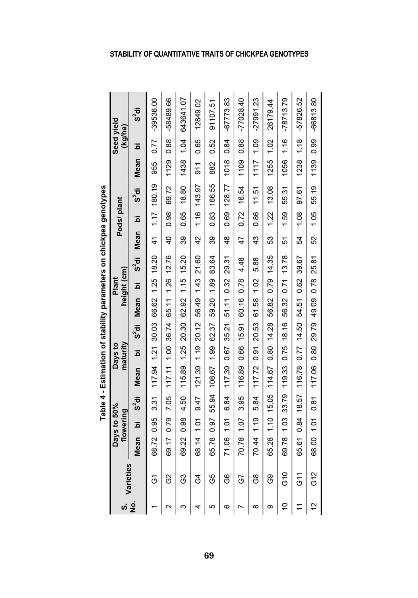|              |           |            |                          |          | doe 4 - Estimation stand partieles on subsequent of the 4 - Estimate of the 4 |                     |            |                                    |                      |          |                |            |             |         |                       |             |
|--------------|-----------|------------|--------------------------|----------|-------------------------------------------------------------------------------|---------------------|------------|------------------------------------|----------------------|----------|----------------|------------|-------------|---------|-----------------------|-------------|
| <sub>ဟ</sub> | Varieties |            | Days to 50%<br>flowering |          |                                                                               | maturity<br>Days to |            |                                    | height (cm)<br>Plant |          |                | Pods/plant |             |         | Seed vield<br>(kg/ha) |             |
| ş            |           | Mean       | آھ                       | $s^2$ di | Mean                                                                          | ā                   | $S^2$ di   | <b>Mean</b>                        | هَ                   | $S^2$ di | Mean           | ة          | $S^2$ di    | Mean    | ة                     | $s^2$ di    |
|              | δ         | 68.72      | 0.95                     | 3.31     | 117.94                                                                        | 1.21                | 30.03      | 66.62                              | 1.25                 | 18.20    | 41             | 1.17       | 180.19      | 955     | 0.77                  | $-39536.00$ |
| Z            | 3         | 69.17 0.79 |                          | 7.05     | 117.11 1.00 36.74                                                             |                     |            | 65.11 1.26 12.76                   |                      |          | $\overline{6}$ | 0.98       | 69.72       | 1129    | 0.88                  | -58489.66   |
| ω            | යි        | 69.22      | 0.98                     | 4.50     | 115.89                                                                        | 1.25                | 20.30      | 62.92                              | 1.15                 | 15.20    | 39             | 0.65       | 18.80       | 1438    | 1.04                  | 643641.07   |
| 4            | 3         | 68.14 1.01 |                          | 9.47     | 121.39 1.19 20.12                                                             |                     |            | 56.49 1.43 21.60                   |                      |          | 42             | 1.16       | 143.97      | 5<br>19 | 0.65                  | 12849.02    |
| 5            | G5        | 65.78      | 0.97                     | 55.94    | 108.67                                                                        | 1.99                | 62.37      | 59.20                              | 1.89                 | 83.64    | 39             | 0.83       | 166.55      | 882     | 0.52                  | 91107.51    |
| ဖ            | 80        | 71.06 1.01 |                          | 6.84     |                                                                               |                     |            | 117.39 0.67 35.21 51.11 0.32 29.31 |                      |          | 48             |            | 0.69 128.77 | 1018    | 0.84                  | $-67773.83$ |
|              | 57        | 70.78      | 1.07                     | 3.95     | 116.89                                                                        | 0.66                | 15.91      | 60.16                              | 0.78                 | 4.48     | 47             | 0.72       | 16.54       | 1109    | 88<br>O.8             | $-77028.40$ |
| $\infty$     | 80        | 70.44 1.19 |                          | 5.84     | 117.72 0.91 20.53                                                             |                     |            | 61.58 1.02                         |                      | 5.88     | 43             | 0.86       | 11.51       | 1117    | 1.09                  | $-27991.23$ |
| თ            | ၛၟ        | 65.28      | 1.10                     | 15.05    | 114.67                                                                        |                     | 0.80 14.28 | 56.82                              | 0.79                 | 14.35    | 53             | 1.22       | 13.08       | 1255    | 1.02                  | 26179.44    |
| ٥Ļ           | G10       |            |                          |          | 69.78 1.03 33.79 119.33 0.75 18.16                                            |                     |            | 56.32 0.71 13.78                   |                      |          | 51             | 1.59       | 55.31       | 1056    | 1.16                  | $-78713.79$ |
|              | 511       | 65.61      | 0.84                     | 18.57    | 116.78                                                                        |                     | 0.77 14.50 | 54.51                              | 0.62                 | 39.67    | 54             | 1.08       | 97.61       | 1238    | 1.18                  | -57826.52   |
| 12           | G12       | 68.00 1.01 |                          | 0.81     |                                                                               |                     |            | 117.06 0.80 29.79 49.09 0.78 25.81 |                      |          | 52             | 1.05       | 55.19       | 1139    | 86<br>0.9             | $-66813.80$ |

ì Table 4 - Fstimation of stability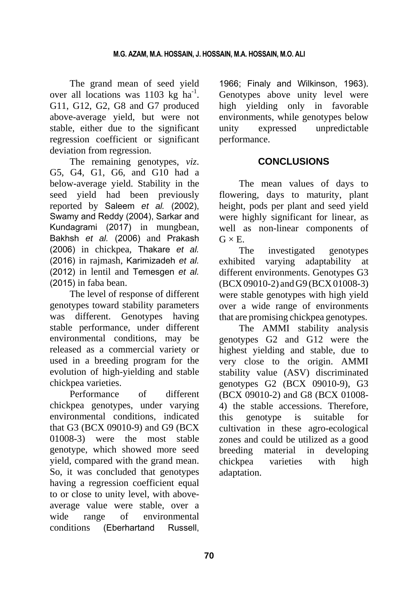The grand mean of seed yield over all locations was  $1103 \text{ kg} \text{ ha}^{-1}$ . G11, G12, G2, G8 and G7 produced above-average yield, but were not stable, either due to the significant regression coefficient or significant deviation from regression.

The remaining genotypes, *viz*. G5, G4, G1, G6, and G10 had a below-average yield. Stability in the seed yield had been previously reported by Saleem *et al.* (2002), Swamy and Reddy (2004), Sarkar and Kundagrami (2017) in mungbean, Bakhsh *et al.* (2006) and Prakash (2006) in chickpea, Thakare *et al.*  (2016) in rajmash, Karimizadeh *et al.*  (2012) in lentil and Temesgen *et al.*  (2015) in faba bean.

The level of response of different genotypes toward stability parameters was different. Genotypes having stable performance, under different environmental conditions, may be released as a commercial variety or used in a breeding program for the evolution of high-yielding and stable chickpea varieties.

Performance of different chickpea genotypes, under varying environmental conditions, indicated that G3 (BCX 09010-9) and G9 (BCX 01008-3) were the most stable genotype, which showed more seed yield, compared with the grand mean. So, it was concluded that genotypes having a regression coefficient equal to or close to unity level, with aboveaverage value were stable, over a wide range of environmental conditions (Eberhartand Russell,

1966; Finaly and Wilkinson, 1963). Genotypes above unity level were high yielding only in favorable environments, while genotypes below unity expressed unpredictable performance.

# **CONCLUSIONS**

The mean values of days to flowering, days to maturity, plant height, pods per plant and seed yield were highly significant for linear, as well as non-linear components of  $G \times E$ .

The investigated genotypes exhibited varying adaptability at different environments. Genotypes G3 (BCX09010-2) andG9 (BCX01008-3) were stable genotypes with high yield over a wide range of environments that are promising chickpea genotypes.

The AMMI stability analysis genotypes G2 and G12 were the highest yielding and stable, due to very close to the origin. AMMI stability value (ASV) discriminated genotypes G2 (BCX 09010-9), G3 (BCX 09010-2) and G8 (BCX 01008- 4) the stable accessions. Therefore, this genotype is suitable for cultivation in these agro-ecological zones and could be utilized as a good breeding material in developing chickpea varieties with high adaptation.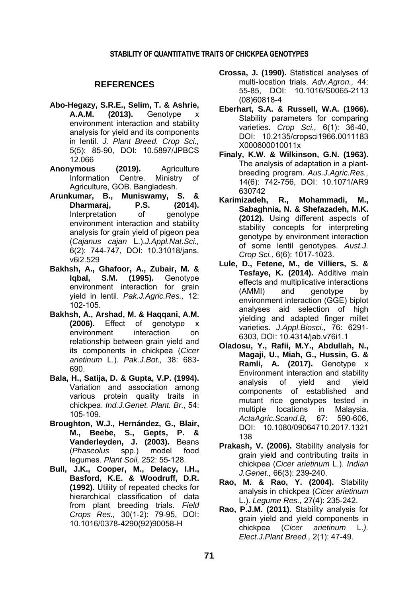#### **STABILITY OF QUANTITATIVE TRAITS OF CHICKPEA GENOTYPES**

#### **REFERENCES**

- **Abo-Hegazy, S.R.E., Selim, T. & Ashrie, A.A.M. (2013).** Genotype x environment interaction and stability analysis for yield and its components in lentil. *J. Plant Breed. Crop Sci.,* 5(5): 85-90, DOI: 10.5897/JPBCS 12.066
- **Anonymous (2019).** Agriculture Information Centre. Ministry of Agriculture, GOB. Bangladesh.
- **Arunkumar, B., Muniswamy, S. & Dharmaraj, P.S. (2014).** Interpretation of genotype environment interaction and stability analysis for grain yield of pigeon pea (*Cajanus cajan* L.).*J.Appl.Nat.Sci.,* 6(2): 744-747, DOI: 10.31018/jans. v6i2.529
- **Bakhsh, A., Ghafoor, A., Zubair, M. & Iqbal, S.M. (1995).** Genotype environment interaction for grain yield in lentil. *Pak.J.Agric.Res.,* 12: 102-105.
- **Bakhsh, A., Arshad, M. & Haqqani, A.M. (2006).** Effect of genotype x environment interaction on relationship between grain yield and its components in chickpea (*Cicer arietinum* L.). *Pak.J.Bot.,* 38: 683- 690.
- **Bala, H., Satija, D. & Gupta, V.P. (1994).** Variation and association among various protein quality traits in chickpea. *Ind.J.Genet. Plant. Br.*, 54: 105-109.
- **Broughton, W.J., Hernández, G., Blair, M., Beebe, S., Gepts, P. & Vanderleyden, J. (2003).** Beans (*Phaseolus* spp.) model food legumes. *Plant Soil,* 252: 55-128.
- **Bull, J.K., Cooper, M., Delacy, I.H., Basford, K.E. & Woodruff, D.R. (1992).** Utility of repeated checks for hierarchical classification of data from plant breeding trials. *Field Crops Res.,* 30(1-2): 79-95, DOI: 10.1016/0378-4290(92)90058-H
- **Crossa, J. (1990).** Statistical analyses of multi-location trials. *Adv.Agron.,* 44: 55-85, DOI: 10.1016/S0065-2113 (08)60818-4
- **Eberhart, S.A. & Russell, W.A. (1966).** Stability parameters for comparing varieties. *Crop Sci.,* 6(1): 36-40, DOI: 10.2135/cropsci1966.0011183 X000600010011x
- **Finaly, K.W. & Wilkinson, G.N. (1963).**  The analysis of adaptation in a plantbreeding program. *Aus.J.Agric.Res.,* 14(6): 742-756, DOI: 10.1071/AR9 630742
- **Karimizadeh, R., Mohammadi, M., Sabaghnia, N. & Shefazadeh, M.K. (2012).** Using different aspects of stability concepts for interpreting genotype by environment interaction of some lentil genotypes. *Aust.J. Crop Sci.,* 6(6): 1017-1023.
- **Lule, D., Fetene, M., de Villiers, S. & Tesfaye, K. (2014).** Additive main effects and multiplicative interactions (AMMI) and genotype by environment interaction (GGE) biplot analyses aid selection of high yielding and adapted finger millet varieties. *J.Appl.Biosci.,* 76: 6291- 6303, DOI: 10.4314/jab.v76i1.1
- **Oladosu, Y., Rafii, M.Y., Abdullah, N., Magaji, U., Miah, G., Hussin, G. & Ramli, A. (2017).** Genotype x Environment interaction and stability analysis of yield and yield components of established and mutant rice genotypes tested in multiple locations in Malaysia. *ActaAgric.Scand.B,* 67: 590-606, DOI: 10.1080/09064710.2017.1321 138
- **Prakash, V. (2006).** Stability analysis for grain yield and contributing traits in chickpea (*Cicer arietinum* L.). *Indian J.Genet.,* 66(3): 239-240.
- **Rao, M. & Rao, Y. (2004).** Stability analysis in chickpea (*Cicer arietinum*  L.). *Legume Res.,* 27(4): 235-242.
- **Rao, P.J.M. (2011).** Stability analysis for grain yield and yield components in chickpea (*Cicer arietinum* L.*). Elect.J.Plant Breed.,* 2(1): 47-49.